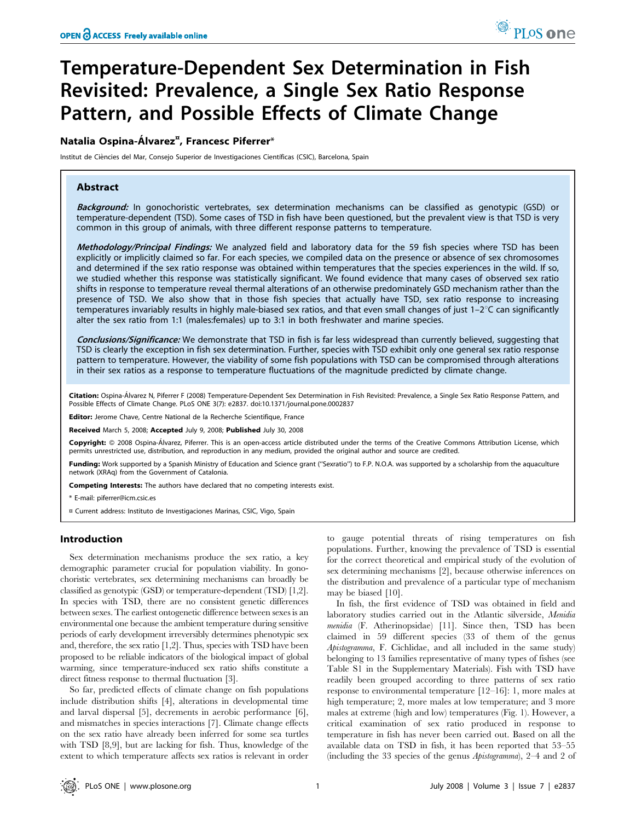# Temperature-Dependent Sex Determination in Fish Revisited: Prevalence, a Single Sex Ratio Response Pattern, and Possible Effects of Climate Change

## Natalia Ospina-Álvarez<sup>¤</sup>, Francesc Piferrer\*

Institut de Ciències del Mar, Consejo Superior de Investigaciones Científicas (CSIC), Barcelona, Spain

## Abstract

Background: In gonochoristic vertebrates, sex determination mechanisms can be classified as genotypic (GSD) or temperature-dependent (TSD). Some cases of TSD in fish have been questioned, but the prevalent view is that TSD is very common in this group of animals, with three different response patterns to temperature.

Methodology/Principal Findings: We analyzed field and laboratory data for the 59 fish species where TSD has been explicitly or implicitly claimed so far. For each species, we compiled data on the presence or absence of sex chromosomes and determined if the sex ratio response was obtained within temperatures that the species experiences in the wild. If so, we studied whether this response was statistically significant. We found evidence that many cases of observed sex ratio shifts in response to temperature reveal thermal alterations of an otherwise predominately GSD mechanism rather than the presence of TSD. We also show that in those fish species that actually have TSD, sex ratio response to increasing temperatures invariably results in highly male-biased sex ratios, and that even small changes of just  $1-2°C$  can significantly alter the sex ratio from 1:1 (males:females) up to 3:1 in both freshwater and marine species.

Conclusions/Significance: We demonstrate that TSD in fish is far less widespread than currently believed, suggesting that TSD is clearly the exception in fish sex determination. Further, species with TSD exhibit only one general sex ratio response pattern to temperature. However, the viability of some fish populations with TSD can be compromised through alterations in their sex ratios as a response to temperature fluctuations of the magnitude predicted by climate change.

Citation: Ospina-Álvarez N, Piferrer F (2008) Temperature-Dependent Sex Determination in Fish Revisited: Prevalence, a Single Sex Ratio Response Pattern, and Possible Effects of Climate Change. PLoS ONE 3(7): e2837. doi:10.1371/journal.pone.0002837

Editor: Jerome Chave, Centre National de la Recherche Scientifique, France

Received March 5, 2008; Accepted July 9, 2008; Published July 30, 2008

Copyright: @ 2008 Ospina-Álvarez, Piferrer. This is an open-access article distributed under the terms of the Creative Commons Attribution License, which permits unrestricted use, distribution, and reproduction in any medium, provided the original author and source are credited.

Funding: Work supported by a Spanish Ministry of Education and Science grant ("Sexratio") to F.P. N.O.A. was supported by a scholarship from the aquaculture network (XRAq) from the Government of Catalonia.

Competing Interests: The authors have declared that no competing interests exist.

\* E-mail: piferrer@icm.csic.es

¤ Current address: Instituto de Investigaciones Marinas, CSIC, Vigo, Spain

## Introduction

Sex determination mechanisms produce the sex ratio, a key demographic parameter crucial for population viability. In gonochoristic vertebrates, sex determining mechanisms can broadly be classified as genotypic (GSD) or temperature-dependent (TSD) [1,2]. In species with TSD, there are no consistent genetic differences between sexes. The earliest ontogenetic difference between sexes is an environmental one because the ambient temperature during sensitive periods of early development irreversibly determines phenotypic sex and, therefore, the sex ratio [1,2]. Thus, species with TSD have been proposed to be reliable indicators of the biological impact of global warming, since temperature-induced sex ratio shifts constitute a direct fitness response to thermal fluctuation [3].

So far, predicted effects of climate change on fish populations include distribution shifts [4], alterations in developmental time and larval dispersal [5], decrements in aerobic performance [6], and mismatches in species interactions [7]. Climate change effects on the sex ratio have already been inferred for some sea turtles with TSD [8,9], but are lacking for fish. Thus, knowledge of the extent to which temperature affects sex ratios is relevant in order

to gauge potential threats of rising temperatures on fish populations. Further, knowing the prevalence of TSD is essential for the correct theoretical and empirical study of the evolution of sex determining mechanisms [2], because otherwise inferences on the distribution and prevalence of a particular type of mechanism may be biased [10].

In fish, the first evidence of TSD was obtained in field and laboratory studies carried out in the Atlantic silverside, Menidia menidia (F. Atherinopsidae) [11]. Since then, TSD has been claimed in 59 different species (33 of them of the genus Apistogramma, F. Cichlidae, and all included in the same study) belonging to 13 families representative of many types of fishes (see Table S1 in the Supplementary Materials). Fish with TSD have readily been grouped according to three patterns of sex ratio response to environmental temperature [12–16]: 1, more males at high temperature; 2, more males at low temperature; and 3 more males at extreme (high and low) temperatures (Fig. 1). However, a critical examination of sex ratio produced in response to temperature in fish has never been carried out. Based on all the available data on TSD in fish, it has been reported that 53–55 (including the 33 species of the genus Apistogramma), 2–4 and 2 of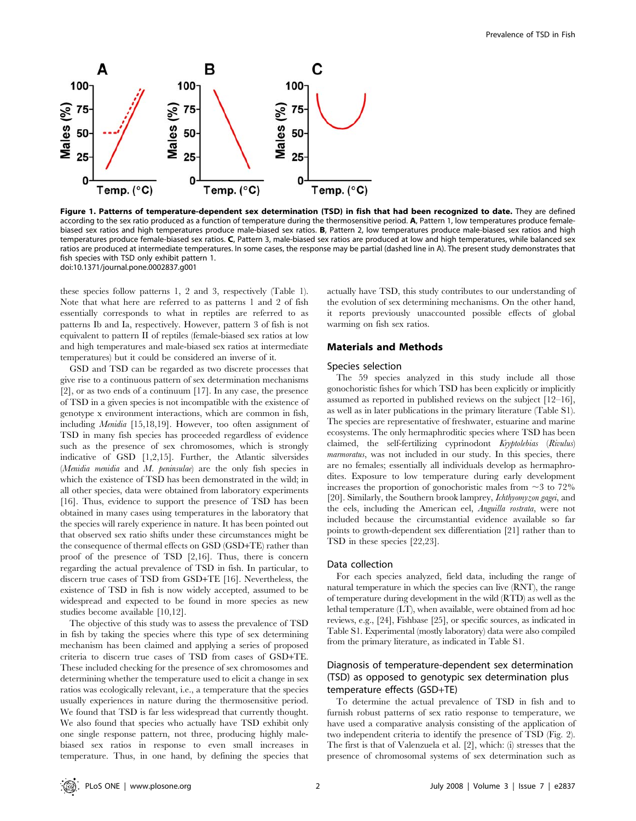

Figure 1. Patterns of temperature-dependent sex determination (TSD) in fish that had been recognized to date. They are defined according to the sex ratio produced as a function of temperature during the thermosensitive period. A, Pattern 1, low temperatures produce femalebiased sex ratios and high temperatures produce male-biased sex ratios. B, Pattern 2, low temperatures produce male-biased sex ratios and high temperatures produce female-biased sex ratios. C, Pattern 3, male-biased sex ratios are produced at low and high temperatures, while balanced sex ratios are produced at intermediate temperatures. In some cases, the response may be partial (dashed line in A). The present study demonstrates that fish species with TSD only exhibit pattern 1. doi:10.1371/journal.pone.0002837.g001

these species follow patterns 1, 2 and 3, respectively (Table 1). Note that what here are referred to as patterns 1 and 2 of fish essentially corresponds to what in reptiles are referred to as patterns Ib and Ia, respectively. However, pattern 3 of fish is not equivalent to pattern II of reptiles (female-biased sex ratios at low and high temperatures and male-biased sex ratios at intermediate temperatures) but it could be considered an inverse of it.

GSD and TSD can be regarded as two discrete processes that give rise to a continuous pattern of sex determination mechanisms [2], or as two ends of a continuum [17]. In any case, the presence of TSD in a given species is not incompatible with the existence of genotype x environment interactions, which are common in fish, including Menidia [15,18,19]. However, too often assignment of TSD in many fish species has proceeded regardless of evidence such as the presence of sex chromosomes, which is strongly indicative of GSD [1,2,15]. Further, the Atlantic silversides (Menidia menidia and M. peninsulae) are the only fish species in which the existence of TSD has been demonstrated in the wild; in all other species, data were obtained from laboratory experiments [16]. Thus, evidence to support the presence of TSD has been obtained in many cases using temperatures in the laboratory that the species will rarely experience in nature. It has been pointed out that observed sex ratio shifts under these circumstances might be the consequence of thermal effects on GSD (GSD+TE) rather than proof of the presence of TSD [2,16]. Thus, there is concern regarding the actual prevalence of TSD in fish. In particular, to discern true cases of TSD from GSD+TE [16]. Nevertheless, the existence of TSD in fish is now widely accepted, assumed to be widespread and expected to be found in more species as new studies become available [10,12].

The objective of this study was to assess the prevalence of TSD in fish by taking the species where this type of sex determining mechanism has been claimed and applying a series of proposed criteria to discern true cases of TSD from cases of GSD+TE. These included checking for the presence of sex chromosomes and determining whether the temperature used to elicit a change in sex ratios was ecologically relevant, i.e., a temperature that the species usually experiences in nature during the thermosensitive period. We found that TSD is far less widespread that currently thought. We also found that species who actually have TSD exhibit only one single response pattern, not three, producing highly malebiased sex ratios in response to even small increases in temperature. Thus, in one hand, by defining the species that

actually have TSD, this study contributes to our understanding of the evolution of sex determining mechanisms. On the other hand, it reports previously unaccounted possible effects of global warming on fish sex ratios.

## Materials and Methods

#### Species selection

The 59 species analyzed in this study include all those gonochoristic fishes for which TSD has been explicitly or implicitly assumed as reported in published reviews on the subject [12–16], as well as in later publications in the primary literature (Table S1). The species are representative of freshwater, estuarine and marine ecosystems. The only hermaphroditic species where TSD has been claimed, the self-fertilizing cyprinodont Kryptolebias (Rivulus) marmoratus, was not included in our study. In this species, there are no females; essentially all individuals develop as hermaphrodites. Exposure to low temperature during early development increases the proportion of gonochoristic males from  $\sim$  3 to 72% [20]. Similarly, the Southern brook lamprey, Ichthyomyzon gagei, and the eels, including the American eel, Anguilla rostrata, were not included because the circumstantial evidence available so far points to growth-dependent sex differentiation [21] rather than to TSD in these species [22,23].

#### Data collection

For each species analyzed, field data, including the range of natural temperature in which the species can live (RNT), the range of temperature during development in the wild (RTD) as well as the lethal temperature (LT), when available, were obtained from ad hoc reviews, e.g., [24], Fishbase [25], or specific sources, as indicated in Table S1. Experimental (mostly laboratory) data were also compiled from the primary literature, as indicated in Table S1.

## Diagnosis of temperature-dependent sex determination (TSD) as opposed to genotypic sex determination plus temperature effects (GSD+TE)

To determine the actual prevalence of TSD in fish and to furnish robust patterns of sex ratio response to temperature, we have used a comparative analysis consisting of the application of two independent criteria to identify the presence of TSD (Fig. 2). The first is that of Valenzuela et al. [2], which: (i) stresses that the presence of chromosomal systems of sex determination such as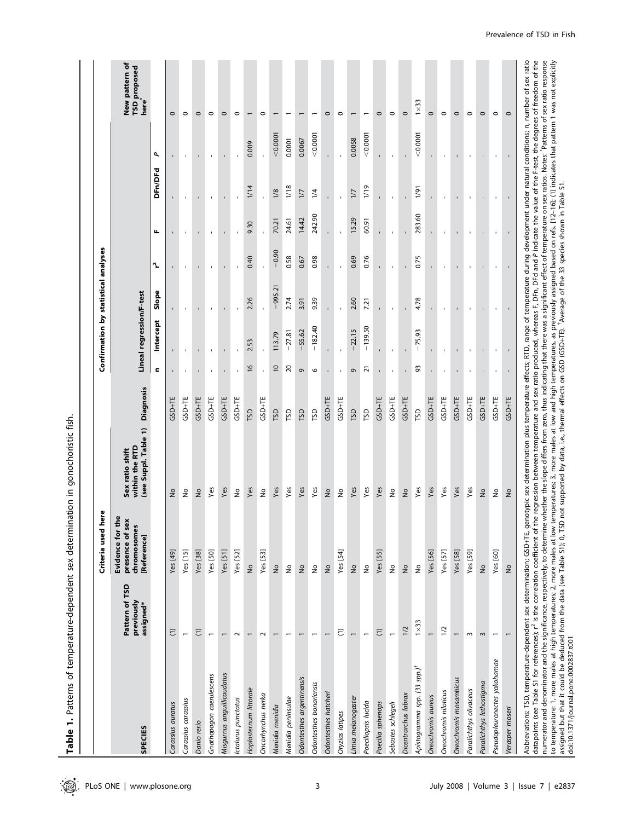Table 1. Patterns of temperature-dependent sex determination in gonochoristic fish. Table 1. Patterns of temperature-dependent sex determination in gonochoristic fish.

|                                                                                                                                                                                                                                                                                                                                                                                                                                                                                                                                                                                                                                                                                                                                                                                                                                                                                                                                                                                                             |                                           | Criteria used here                                                |                                                                                                                         |                  |                | Confirmation by statistical analyses |                          |                          |                     |                |              |                                        |
|-------------------------------------------------------------------------------------------------------------------------------------------------------------------------------------------------------------------------------------------------------------------------------------------------------------------------------------------------------------------------------------------------------------------------------------------------------------------------------------------------------------------------------------------------------------------------------------------------------------------------------------------------------------------------------------------------------------------------------------------------------------------------------------------------------------------------------------------------------------------------------------------------------------------------------------------------------------------------------------------------------------|-------------------------------------------|-------------------------------------------------------------------|-------------------------------------------------------------------------------------------------------------------------|------------------|----------------|--------------------------------------|--------------------------|--------------------------|---------------------|----------------|--------------|----------------------------------------|
| <b>SPECIES</b>                                                                                                                                                                                                                                                                                                                                                                                                                                                                                                                                                                                                                                                                                                                                                                                                                                                                                                                                                                                              | Pattern of TSD<br>previously<br>assigned* | Evidence for the<br>presence of sex<br>chromosomes<br>[Reference] | (see Suppl. Table 1)<br>within the RTD<br>Sex ratio shift                                                               | <b>Diagnosis</b> |                | Lineal regression/F-test             |                          |                          |                     |                |              | New pattern of<br>TSD proposed<br>here |
|                                                                                                                                                                                                                                                                                                                                                                                                                                                                                                                                                                                                                                                                                                                                                                                                                                                                                                                                                                                                             |                                           |                                                                   |                                                                                                                         |                  | c              | Intercept                            | Slope                    | ∼ุ                       | щ                   | <b>DFn/DFd</b> | σ            |                                        |
| Carassius auratus                                                                                                                                                                                                                                                                                                                                                                                                                                                                                                                                                                                                                                                                                                                                                                                                                                                                                                                                                                                           | $\widehat{\Xi}$                           | Yes [49]                                                          | $\frac{1}{2}$                                                                                                           | GSD+TE           |                |                                      |                          |                          |                     |                |              | $\circ$                                |
| Carassius carassius                                                                                                                                                                                                                                                                                                                                                                                                                                                                                                                                                                                                                                                                                                                                                                                                                                                                                                                                                                                         | $\overline{\phantom{0}}$                  | <b>Yes</b> [15]                                                   | $\frac{1}{2}$                                                                                                           | GSD+TE           | $\mathbf{r}$   | $\mathbf{r}$                         | $\mathbf{r}$             | $\mathbf{r}$             |                     |                |              | $\circ$                                |
| Danio rerio                                                                                                                                                                                                                                                                                                                                                                                                                                                                                                                                                                                                                                                                                                                                                                                                                                                                                                                                                                                                 | $\widehat{E}$                             | Yes [38]                                                          | $\frac{1}{2}$                                                                                                           | GSD+TE           |                |                                      |                          |                          |                     |                |              | $\circ$                                |
| Gnathopogon caerulescens                                                                                                                                                                                                                                                                                                                                                                                                                                                                                                                                                                                                                                                                                                                                                                                                                                                                                                                                                                                    | $\overline{ }$                            | Yes [50]                                                          | Yes                                                                                                                     | GSD+TE           | $\mathbf{I}$   | $\blacksquare$                       | $\overline{\phantom{a}}$ | $\blacksquare$           | $\blacksquare$      | $\mathbf{I}$   | $\mathbf{I}$ | $\circ$                                |
| Misgurnus anguillicaudatus                                                                                                                                                                                                                                                                                                                                                                                                                                                                                                                                                                                                                                                                                                                                                                                                                                                                                                                                                                                  | $\overline{ }$                            | $Yes$ [51]                                                        | Yes                                                                                                                     | GSD+TE           |                |                                      |                          |                          |                     |                |              | $\circ$                                |
| Ictalurus punctatus                                                                                                                                                                                                                                                                                                                                                                                                                                                                                                                                                                                                                                                                                                                                                                                                                                                                                                                                                                                         | $\sim$                                    | Yes $[52]$                                                        | $\hat{\mathsf{z}}$                                                                                                      | GSD+TE           | $\mathbf{r}$   |                                      |                          |                          |                     |                |              | $\circ$                                |
| Hoplosternum littorale                                                                                                                                                                                                                                                                                                                                                                                                                                                                                                                                                                                                                                                                                                                                                                                                                                                                                                                                                                                      |                                           | $\frac{1}{2}$                                                     | Yes                                                                                                                     | TSD              | $\frac{6}{2}$  | 2.53                                 | 2.26                     | 0.40                     | 9.30                | 1/14           | 0.009        | $\overline{ }$                         |
| Oncorhynchus nerka                                                                                                                                                                                                                                                                                                                                                                                                                                                                                                                                                                                                                                                                                                                                                                                                                                                                                                                                                                                          | $\sim$                                    | Yes [53]                                                          | $\hat{\mathsf{z}}$                                                                                                      | GSD+TE           | $\blacksquare$ |                                      |                          |                          |                     |                |              | $\circ$                                |
| Menidia menidia                                                                                                                                                                                                                                                                                                                                                                                                                                                                                                                                                                                                                                                                                                                                                                                                                                                                                                                                                                                             |                                           | $\frac{1}{2}$                                                     | Yes                                                                                                                     | <b>TSD</b>       | $\overline{0}$ | 113.79                               | $-995.21$                | $-0.90$                  | 70.21               | 1/8            | < 0.0001     |                                        |
| Menidia peninsulae                                                                                                                                                                                                                                                                                                                                                                                                                                                                                                                                                                                                                                                                                                                                                                                                                                                                                                                                                                                          |                                           | $\hat{\mathsf{z}}$                                                | Yes                                                                                                                     | <b>DSD</b>       | $\overline{c}$ | $-27.81$                             | 2.74                     | 0.58                     | 24.61               | 1/18           | 0.0001       |                                        |
| Odontesthes argentinensis                                                                                                                                                                                                                                                                                                                                                                                                                                                                                                                                                                                                                                                                                                                                                                                                                                                                                                                                                                                   | $\overline{ }$                            | $\frac{1}{2}$                                                     | Yes                                                                                                                     | TSD              | G              | $-55.62$                             | 3.91                     | 0.67                     | 14.42               | 1/7            | 0.0067       |                                        |
| Odontesthes bonariensis                                                                                                                                                                                                                                                                                                                                                                                                                                                                                                                                                                                                                                                                                                                                                                                                                                                                                                                                                                                     |                                           | $\stackrel{\mathtt{o}}{z}$                                        | Yes                                                                                                                     | <b>TSD</b>       | $\mathbf o$    | $-182.40$                            | 9.39                     | 0.98                     | 242.90              | 1/4            | < 0.0001     | $\overline{\phantom{0}}$               |
| Odontesthes hatcheri                                                                                                                                                                                                                                                                                                                                                                                                                                                                                                                                                                                                                                                                                                                                                                                                                                                                                                                                                                                        | $\overline{ }$                            | $\frac{1}{2}$                                                     | $\frac{1}{2}$                                                                                                           | GSD+TE           |                |                                      |                          |                          |                     |                |              | $\circ$                                |
| Oryzias latipes                                                                                                                                                                                                                                                                                                                                                                                                                                                                                                                                                                                                                                                                                                                                                                                                                                                                                                                                                                                             | $\widehat{c}$                             | Yes [54]                                                          | $\hat{z}$                                                                                                               | GSD+TE           | $\mathbf{I}$   |                                      |                          |                          |                     |                |              | $\circ$                                |
| Limia melanogaster                                                                                                                                                                                                                                                                                                                                                                                                                                                                                                                                                                                                                                                                                                                                                                                                                                                                                                                                                                                          | $\overline{\phantom{0}}$                  | $\frac{1}{2}$                                                     | Yes                                                                                                                     | TSD              | G              | $-22.15$                             | 2.60                     | 0.69                     | 15.29               | $\frac{1}{7}$  | 0.0058       | $\overline{ }$                         |
| Poeciliopsis lucida                                                                                                                                                                                                                                                                                                                                                                                                                                                                                                                                                                                                                                                                                                                                                                                                                                                                                                                                                                                         |                                           | $\frac{\circ}{\sim}$                                              | Yes                                                                                                                     | TSD              | ត              | $-139.50$                            | 7.21                     | 0.76                     | 60.91               | 1/19           | < 0.0001     |                                        |
| Poecilia sphenops                                                                                                                                                                                                                                                                                                                                                                                                                                                                                                                                                                                                                                                                                                                                                                                                                                                                                                                                                                                           | $\widehat{E}$                             | Yes [55]                                                          | Yes                                                                                                                     | GSD+TE           |                |                                      |                          |                          |                     |                |              | $\circ$                                |
| Sebastes schlegeli                                                                                                                                                                                                                                                                                                                                                                                                                                                                                                                                                                                                                                                                                                                                                                                                                                                                                                                                                                                          | $\overline{\phantom{0}}$                  | $\hat{\mathsf{z}}$                                                | $\hat{\mathsf{z}}$                                                                                                      | GSD+TE           | $\mathbf{I}$   |                                      | $\overline{\phantom{a}}$ | $\overline{\phantom{a}}$ |                     |                |              | $\circ$                                |
| Dicentrarchus labrax                                                                                                                                                                                                                                                                                                                                                                                                                                                                                                                                                                                                                                                                                                                                                                                                                                                                                                                                                                                        | 1/2                                       | $\frac{1}{2}$                                                     | $\frac{1}{2}$                                                                                                           | GSD+TE           |                |                                      |                          |                          |                     |                |              | $\circ$                                |
| Apistogramma spp. (33 spp.) <sup>†</sup>                                                                                                                                                                                                                                                                                                                                                                                                                                                                                                                                                                                                                                                                                                                                                                                                                                                                                                                                                                    | $1\times 33$                              | $\hat{\mathsf{z}}$                                                | Yes                                                                                                                     | <b>TSD</b>       | 93             | $-75.93$                             | 4.78                     | 0.75                     | 283.60              | 1/91           | < 0.0001     | $1 \times 33$                          |
| Oreochromis aureus                                                                                                                                                                                                                                                                                                                                                                                                                                                                                                                                                                                                                                                                                                                                                                                                                                                                                                                                                                                          | $\overline{a}$                            | Yes [56]                                                          | Yes                                                                                                                     | GSD+TE           | $\mathbf{I}$   | r,                                   | ×,                       | $\blacksquare$           | $\bar{\phantom{a}}$ |                | $\mathbf{r}$ | $\circ$                                |
| Oreochromis niloticus                                                                                                                                                                                                                                                                                                                                                                                                                                                                                                                                                                                                                                                                                                                                                                                                                                                                                                                                                                                       | 1/2                                       | Yes [57]                                                          | Yes                                                                                                                     | GSD+TE           |                |                                      | $\mathbf{I}$             | $\mathbf{I}$             | $\mathbf{I}$        |                |              | $\circ$                                |
| Oreochromis mosambicus                                                                                                                                                                                                                                                                                                                                                                                                                                                                                                                                                                                                                                                                                                                                                                                                                                                                                                                                                                                      |                                           | <b>Yes</b> [58]                                                   | Yes                                                                                                                     | GSD+TE           |                |                                      |                          |                          |                     |                |              | $\circ$                                |
| Paralichthys olivaceus                                                                                                                                                                                                                                                                                                                                                                                                                                                                                                                                                                                                                                                                                                                                                                                                                                                                                                                                                                                      | $\sim$                                    | Yes [59]                                                          | Yes                                                                                                                     | GSD+TE           |                |                                      |                          |                          |                     |                |              | $\circ$                                |
| Paralichthys lethostigma                                                                                                                                                                                                                                                                                                                                                                                                                                                                                                                                                                                                                                                                                                                                                                                                                                                                                                                                                                                    | $\sim$                                    | $\frac{1}{2}$                                                     | $\frac{1}{2}$                                                                                                           | GSD+TE           |                |                                      |                          |                          | ٠                   |                |              | $\circ$                                |
| Pseudopleuronectes yokohamae                                                                                                                                                                                                                                                                                                                                                                                                                                                                                                                                                                                                                                                                                                                                                                                                                                                                                                                                                                                |                                           | Yes [60]                                                          | $\hat{z}$                                                                                                               | GSD+TE           |                | $\mathbf{I}$                         |                          |                          | $\mathbf{r}$        |                |              | $\circ$                                |
| Verasper moseri                                                                                                                                                                                                                                                                                                                                                                                                                                                                                                                                                                                                                                                                                                                                                                                                                                                                                                                                                                                             |                                           | $\frac{1}{2}$                                                     | $\frac{1}{2}$                                                                                                           | GSD+TE           |                |                                      |                          |                          |                     |                |              | $\circ$                                |
| Abbreviations: TSD, temperature-dependent sex determination; GSD+TE, genotypic sex determination plus temperature effects; RTD, range of temperature during development under natural conditions; n, number of sex ratio<br>datapoints (see Table S1 for references); it is the correlation coefficient of the regression between temperature and sex ratio produced, whereas F, DFn, DFd and P indicate the value of the F-test, the degrees of freedom o<br>numerator and denominator and the significance, respectively, to determine whether the slope differs from zero, thus indicating that there was a significant effect of temperature on sex ratios. Notes: Patterns of sex ratio<br>to temperature: 1, more males at high temperatures; 2, more males at low temperatures; 3, more males at low and high temperatures, as previously assigned based on refs. [12-16]; (1) indicates that pattern 1 was not explic<br>assigned but that it could be deduced from the data (see Table S1); 0, TSD |                                           |                                                                   | not supported by data, i.e., thermal effects on GSD (GSD+TE). <sup>†</sup> Average of the 33 species shown in Table S1. |                  |                |                                      |                          |                          |                     |                |              |                                        |
| doi:10.1371/journal.pone.0002837.t001                                                                                                                                                                                                                                                                                                                                                                                                                                                                                                                                                                                                                                                                                                                                                                                                                                                                                                                                                                       |                                           |                                                                   |                                                                                                                         |                  |                |                                      |                          |                          |                     |                |              |                                        |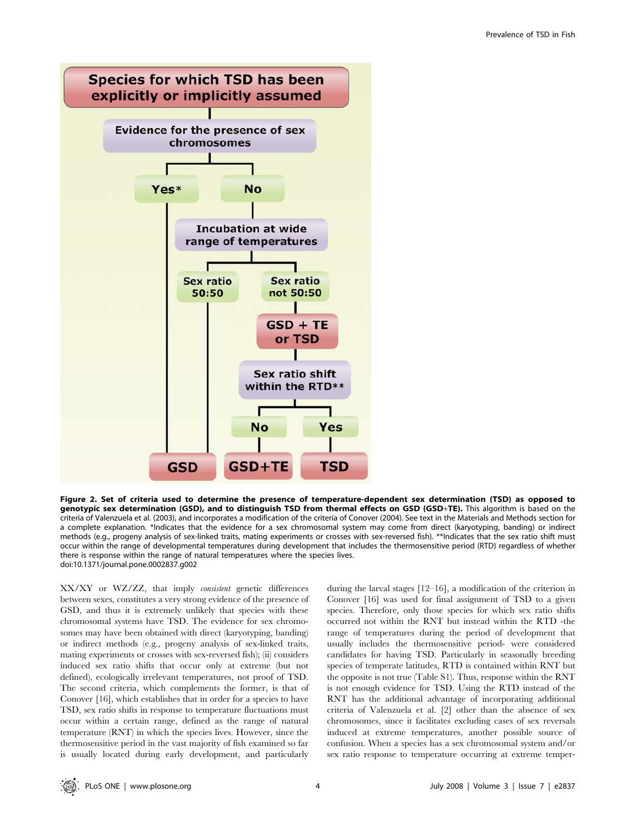

Figure 2. Set of criteria used to determine the presence of temperature-dependent sex determination (TSD) as opposed to genotypic sex determination (GSD), and to distinguish TSD from thermal effects on GSD (GSD+TE). This algorithm is based on the criteria of Valenzuela et al. (2003), and incorporates a modification of the criteria of Conover (2004). See text in the Materials and Methods section for a complete explanation. \*Indicates that the evidence for a sex chromosomal system may come from direct (karyotyping, banding) or indirect methods (e.g., progeny analysis of sex-linked traits, mating experiments or crosses with sex-reversed fish). \*\*Indicates that the sex ratio shift must occur within the range of developmental temperatures during development that includes the thermosensitive period (RTD) regardless of whether there is response within the range of natural temperatures where the species lives. doi:10.1371/journal.pone.0002837.g002

XX/XY or WZ/ZZ, that imply consistent genetic differences between sexes, constitutes a very strong evidence of the presence of GSD, and thus it is extremely unlikely that species with these chromosomal systems have TSD. The evidence for sex chromosomes may have been obtained with direct (karyotyping, banding) or indirect methods (e.g., progeny analysis of sex-linked traits, mating experiments or crosses with sex-reversed fish); (ii) considers induced sex ratio shifts that occur only at extreme (but not defined), ecologically irrelevant temperatures, not proof of TSD. The second criteria, which complements the former, is that of Conover [16], which establishes that in order for a species to have TSD, sex ratio shifts in response to temperature fluctuations must occur within a certain range, defined as the range of natural temperature (RNT) in which the species lives. However, since the thermosensitive period in the vast majority of fish examined so far is usually located during early development, and particularly

during the larval stages [12–16], a modification of the criterion in Conover [16] was used for final assignment of TSD to a given species. Therefore, only those species for which sex ratio shifts occurred not within the RNT but instead within the RTD -the range of temperatures during the period of development that usually includes the thermosensitive period- were considered candidates for having TSD. Particularly in seasonally breeding species of temperate latitudes, RTD is contained within RNT but the opposite is not true (Table S1). Thus, response within the RNT is not enough evidence for TSD. Using the RTD instead of the RNT has the additional advantage of incorporating additional criteria of Valenzuela et al. [2] other than the absence of sex chromosomes, since it facilitates excluding cases of sex reversals induced at extreme temperatures, another possible source of confusion. When a species has a sex chromosomal system and/or sex ratio response to temperature occurring at extreme temper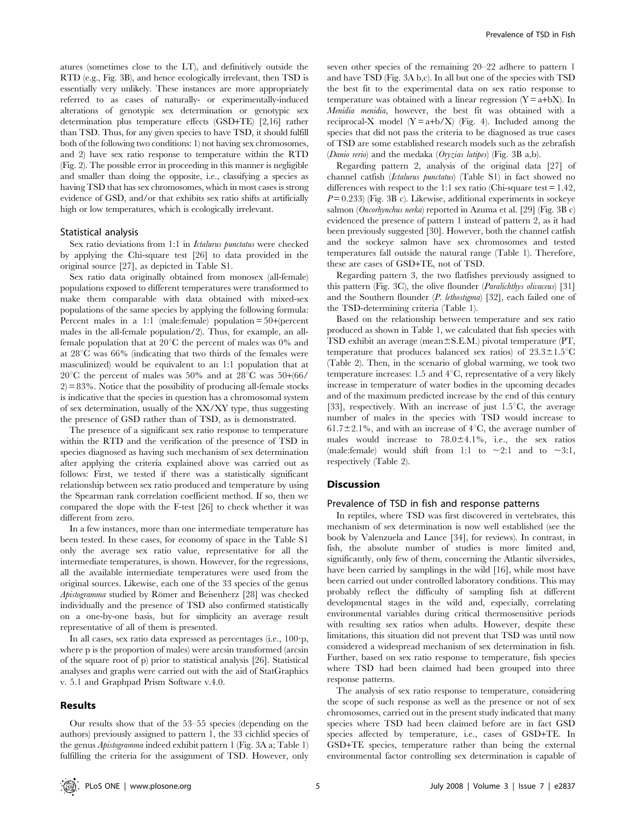atures (sometimes close to the LT), and definitively outside the RTD (e.g., Fig. 3B), and hence ecologically irrelevant, then TSD is essentially very unlikely. These instances are more appropriately referred to as cases of naturally- or experimentally-induced alterations of genotypic sex determination or genotypic sex determination plus temperature effects (GSD+TE) [2,16] rather than TSD. Thus, for any given species to have TSD, it should fulfill both of the following two conditions: 1) not having sex chromosomes, and 2) have sex ratio response to temperature within the RTD (Fig. 2). The possible error in proceeding in this manner is negligible and smaller than doing the opposite, i.e., classifying a species as having TSD that has sex chromosomes, which in most cases is strong evidence of GSD, and/or that exhibits sex ratio shifts at artificially high or low temperatures, which is ecologically irrelevant.

#### Statistical analysis

Sex ratio deviations from 1:1 in Ictalurus punctatus were checked by applying the Chi-square test [26] to data provided in the original source [27], as depicted in Table S1.

Sex ratio data originally obtained from monosex (all-female) populations exposed to different temperatures were transformed to make them comparable with data obtained with mixed-sex populations of the same species by applying the following formula: Percent males in a 1:1 (male:female) population  $= 50+(percent)$ males in the all-female population/2). Thus, for example, an allfemale population that at  $20^{\circ}$ C the percent of males was 0% and at  $28^{\circ}$ C was 66% (indicating that two thirds of the females were masculinized) would be equivalent to an 1:1 population that at  $20^{\circ}$ C the percent of males was 50% and at  $28^{\circ}$ C was 50+(66/  $(2) = 83\%$ . Notice that the possibility of producing all-female stocks is indicative that the species in question has a chromosomal system of sex determination, usually of the XX/XY type, thus suggesting the presence of GSD rather than of TSD, as is demonstrated.

The presence of a significant sex ratio response to temperature within the RTD and the verification of the presence of TSD in species diagnosed as having such mechanism of sex determination after applying the criteria explained above was carried out as follows: First, we tested if there was a statistically significant relationship between sex ratio produced and temperature by using the Spearman rank correlation coefficient method. If so, then we compared the slope with the F-test [26] to check whether it was different from zero.

In a few instances, more than one intermediate temperature has been tested. In these cases, for economy of space in the Table S1 only the average sex ratio value, representative for all the intermediate temperatures, is shown. However, for the regressions, all the available intermediate temperatures were used from the original sources. Likewise, each one of the 33 species of the genus Apistogramma studied by Römer and Beisenherz [28] was checked individually and the presence of TSD also confirmed statistically on a one-by-one basis, but for simplicity an average result representative of all of them is presented.

In all cases, sex ratio data expressed as percentages (i.e., 100?p, where p is the proportion of males) were arcsin transformed (arcsin of the square root of p) prior to statistical analysis [26]. Statistical analyses and graphs were carried out with the aid of StatGraphics v. 5.1 and Graphpad Prism Software v.4.0.

#### Results

Our results show that of the 53–55 species (depending on the authors) previously assigned to pattern 1, the 33 cichlid species of the genus Apistogramma indeed exhibit pattern 1 (Fig. 3A a; Table 1) fulfilling the criteria for the assignment of TSD. However, only seven other species of the remaining 20–22 adhere to pattern 1 and have TSD (Fig. 3A b,c). In all but one of the species with TSD the best fit to the experimental data on sex ratio response to temperature was obtained with a linear regression  $(Y = a+bX)$ . In Menidia menidia, however, the best fit was obtained with a reciprocal-X model  $(Y = a+b/X)$  (Fig. 4). Included among the species that did not pass the criteria to be diagnosed as true cases of TSD are some established research models such as the zebrafish (Danio rerio) and the medaka (Oryzias latipes) (Fig. 3B a,b).

Regarding pattern 2, analysis of the original data [27] of channel catfish (Ictalurus punctatus) (Table S1) in fact showed no differences with respect to the 1:1 sex ratio (Chi-square test  $= 1.42$ ,  $P = 0.233$  (Fig. 3B c). Likewise, additional experiments in sockeye salmon (Oncorhynchus nerka) reported in Azuma et al. [29] (Fig. 3B c) evidenced the presence of pattern 1 instead of pattern 2, as it had been previously suggested [30]. However, both the channel catfish and the sockeye salmon have sex chromosomes and tested temperatures fall outside the natural range (Table 1). Therefore, these are cases of GSD+TE, not of TSD.

Regarding pattern 3, the two flatfishes previously assigned to this pattern (Fig. 3C), the olive flounder (Paralichthys olivaceus) [31] and the Southern flounder (P. lethostigma) [32], each failed one of the TSD-determining criteria (Table 1).

Based on the relationship between temperature and sex ratio produced as shown in Table 1, we calculated that fish species with TSD exhibit an average (mean $\pm$ S.E.M.) pivotal temperature (PT, temperature that produces balanced sex ratios) of  $23.3 \pm 1.5^{\circ}C$ (Table 2). Then, in the scenario of global warming, we took two temperature increases: 1.5 and  $4^{\circ}$ C, representative of a very likely increase in temperature of water bodies in the upcoming decades and of the maximum predicted increase by the end of this century [33], respectively. With an increase of just  $1.5^{\circ}C$ , the average number of males in the species with TSD would increase to  $61.7\pm2.1\%$ , and with an increase of  $4^{\circ}C$ , the average number of males would increase to  $78.0 \pm 4.1\%$ , i.e., the sex ratios (male:female) would shift from 1:1 to  $\sim$ 2:1 and to  $\sim$ 3:1, respectively (Table 2).

#### **Discussion**

## Prevalence of TSD in fish and response patterns

In reptiles, where TSD was first discovered in vertebrates, this mechanism of sex determination is now well established (see the book by Valenzuela and Lance [34], for reviews). In contrast, in fish, the absolute number of studies is more limited and, significantly, only few of them, concerning the Atlantic silversides, have been carried by samplings in the wild [16], while most have been carried out under controlled laboratory conditions. This may probably reflect the difficulty of sampling fish at different developmental stages in the wild and, especially, correlating environmental variables during critical thermosensitive periods with resulting sex ratios when adults. However, despite these limitations, this situation did not prevent that TSD was until now considered a widespread mechanism of sex determination in fish. Further, based on sex ratio response to temperature, fish species where TSD had been claimed had been grouped into three response patterns.

The analysis of sex ratio response to temperature, considering the scope of such response as well as the presence or not of sex chromosomes, carried out in the present study indicated that many species where TSD had been claimed before are in fact GSD species affected by temperature, i.e., cases of GSD+TE. In GSD+TE species, temperature rather than being the external environmental factor controlling sex determination is capable of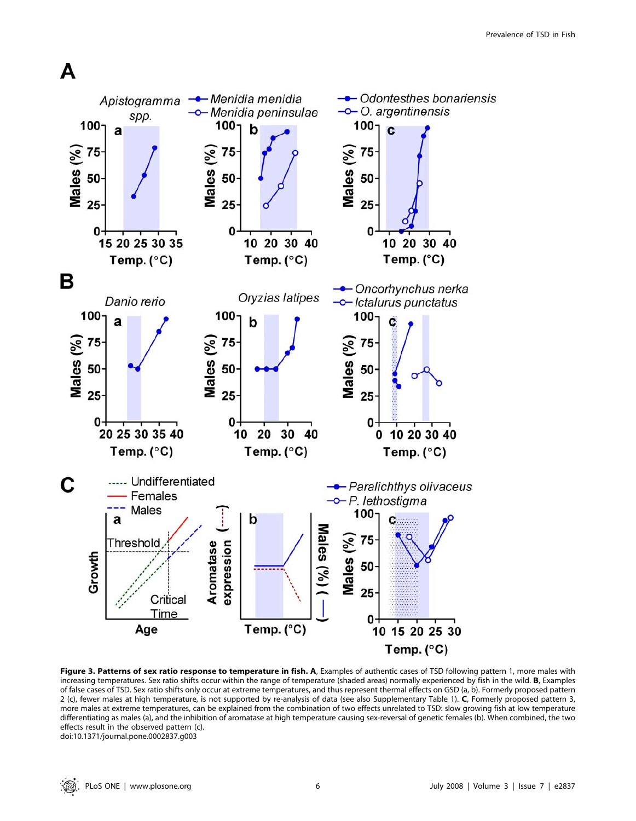# A



Figure 3. Patterns of sex ratio response to temperature in fish. A, Examples of authentic cases of TSD following pattern 1, more males with increasing temperatures. Sex ratio shifts occur within the range of temperature (shaded areas) normally experienced by fish in the wild. B, Examples of false cases of TSD. Sex ratio shifts only occur at extreme temperatures, and thus represent thermal effects on GSD (a, b). Formerly proposed pattern 2 (c), fewer males at high temperature, is not supported by re-analysis of data (see also Supplementary Table 1). C, Formerly proposed pattern 3, more males at extreme temperatures, can be explained from the combination of two effects unrelated to TSD: slow growing fish at low temperature differentiating as males (a), and the inhibition of aromatase at high temperature causing sex-reversal of genetic females (b). When combined, the two effects result in the observed pattern (c).

doi:10.1371/journal.pone.0002837.g003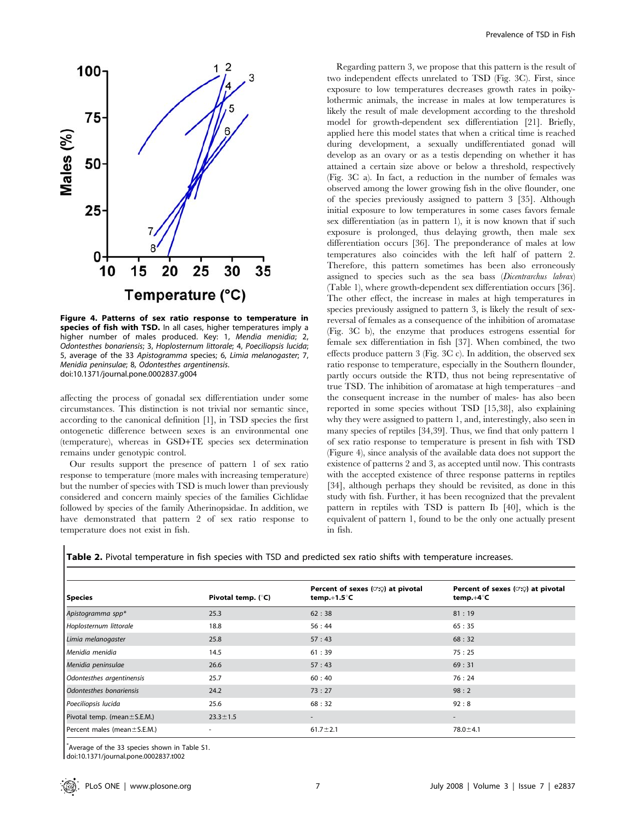

Figure 4. Patterns of sex ratio response to temperature in species of fish with TSD. In all cases, higher temperatures imply a higher number of males produced. Key: 1, Mendia menidia; 2, Odontesthes bonariensis; 3, Hoplosternum littorale; 4, Poeciliopsis lucida; 5, average of the 33 Apistogramma species; 6, Limia melanogaster; 7, Menidia peninsulae; 8, Odontesthes argentinensis. doi:10.1371/journal.pone.0002837.g004

affecting the process of gonadal sex differentiation under some circumstances. This distinction is not trivial nor semantic since, according to the canonical definition [1], in TSD species the first ontogenetic difference between sexes is an environmental one (temperature), whereas in GSD+TE species sex determination remains under genotypic control.

Our results support the presence of pattern 1 of sex ratio response to temperature (more males with increasing temperature) but the number of species with TSD is much lower than previously considered and concern mainly species of the families Cichlidae followed by species of the family Atherinopsidae. In addition, we have demonstrated that pattern 2 of sex ratio response to temperature does not exist in fish.

Regarding pattern 3, we propose that this pattern is the result of two independent effects unrelated to TSD (Fig. 3C). First, since exposure to low temperatures decreases growth rates in poikylothermic animals, the increase in males at low temperatures is likely the result of male development according to the threshold model for growth-dependent sex differentiation [21]. Briefly, applied here this model states that when a critical time is reached during development, a sexually undifferentiated gonad will develop as an ovary or as a testis depending on whether it has attained a certain size above or below a threshold, respectively (Fig. 3C a). In fact, a reduction in the number of females was observed among the lower growing fish in the olive flounder, one of the species previously assigned to pattern 3 [35]. Although initial exposure to low temperatures in some cases favors female sex differentiation (as in pattern 1), it is now known that if such exposure is prolonged, thus delaying growth, then male sex differentiation occurs [36]. The preponderance of males at low temperatures also coincides with the left half of pattern 2. Therefore, this pattern sometimes has been also erroneously assigned to species such as the sea bass (Dicentrarchus labrax) (Table 1), where growth-dependent sex differentiation occurs [36]. The other effect, the increase in males at high temperatures in species previously assigned to pattern 3, is likely the result of sexreversal of females as a consequence of the inhibition of aromatase (Fig. 3C b), the enzyme that produces estrogens essential for female sex differentiation in fish [37]. When combined, the two effects produce pattern 3 (Fig. 3C c). In addition, the observed sex ratio response to temperature, especially in the Southern flounder, partly occurs outside the RTD, thus not being representative of true TSD. The inhibition of aromatase at high temperatures –and the consequent increase in the number of males- has also been reported in some species without TSD [15,38], also explaining why they were assigned to pattern 1, and, interestingly, also seen in many species of reptiles [34,39]. Thus, we find that only pattern 1 of sex ratio response to temperature is present in fish with TSD (Figure 4), since analysis of the available data does not support the existence of patterns 2 and 3, as accepted until now. This contrasts with the accepted existence of three response patterns in reptiles [34], although perhaps they should be revisited, as done in this study with fish. Further, it has been recognized that the prevalent pattern in reptiles with TSD is pattern Ib [40], which is the equivalent of pattern 1, found to be the only one actually present in fish.

Table 2. Pivotal temperature in fish species with TSD and predicted sex ratio shifts with temperature increases.

| <b>Species</b>                | Pivotal temp. (°C) | Percent of sexes $( \heartsuit : \heartsuit)$ at pivotal<br>temp.+1.5°C | Percent of sexes $( \circ : \circ)$ at pivotal<br>temp.+4°C |
|-------------------------------|--------------------|-------------------------------------------------------------------------|-------------------------------------------------------------|
| Apistogramma spp*             | 25.3               | 62:38                                                                   | 81:19                                                       |
| Hoplosternum littorale        | 18.8               | 56:44                                                                   | 65:35                                                       |
| Limia melanogaster            | 25.8               | 57:43                                                                   | 68:32                                                       |
| Menidia menidia               | 14.5               | 61:39                                                                   | 75:25                                                       |
| Menidia peninsulae            | 26.6               | 57:43                                                                   | 69:31                                                       |
| Odontesthes argentinensis     | 25.7               | 60:40                                                                   | 76:24                                                       |
| Odontesthes bonariensis       | 24.2               | 73:27                                                                   | 98:2                                                        |
| Poeciliopsis lucida           | 25.6               | 68:32                                                                   | 92:8                                                        |
| Pivotal temp. (mean ± S.E.M.) | $23.3 \pm 1.5$     | $\overline{\phantom{a}}$                                                | $\overline{\phantom{a}}$                                    |
| Percent males (mean ± S.E.M.) | ۰                  | $61.7 \pm 2.1$                                                          | $78.0 \pm 4.1$                                              |

\* Average of the 33 species shown in Table S1.

doi:10.1371/journal.pone.0002837.t002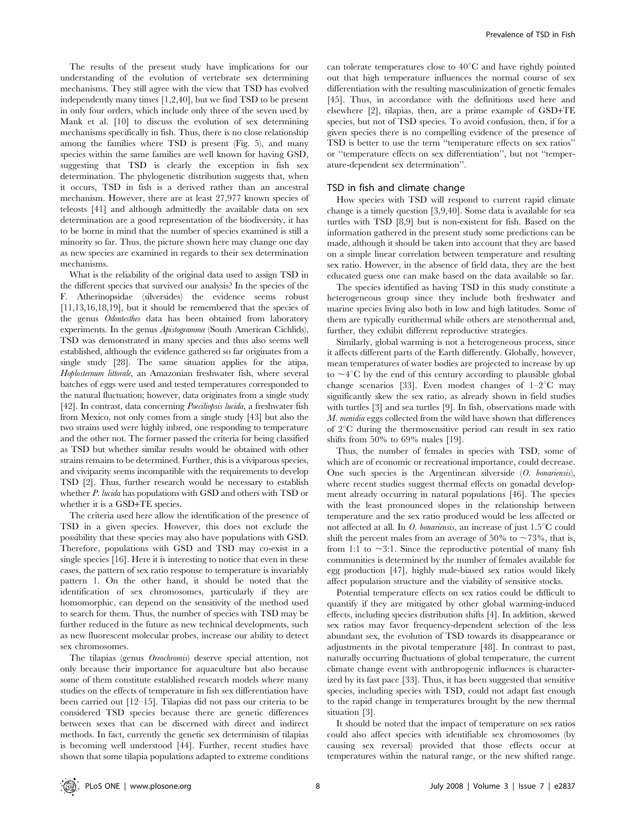The results of the present study have implications for our understanding of the evolution of vertebrate sex determining mechanisms. They still agree with the view that TSD has evolved independently many times [1,2,40], but we find TSD to be present in only four orders, which include only three of the seven used by Mank et al. [10] to discuss the evolution of sex determining mechanisms specifically in fish. Thus, there is no close relationship among the families where TSD is present (Fig. 5), and many species within the same families are well known for having GSD, suggesting that TSD is clearly the exception in fish sex determination. The phylogenetic distribution suggests that, when it occurs, TSD in fish is a derived rather than an ancestral mechanism. However, there are at least 27,977 known species of teleosts [41] and although admittedly the available data on sex determination are a good representation of the biodiversity, it has to be borne in mind that the number of species examined is still a minority so far. Thus, the picture shown here may change one day as new species are examined in regards to their sex determination mechanisms.

What is the reliability of the original data used to assign TSD in the different species that survived our analysis? In the species of the F. Atherinopsidae (silversides) the evidence seems robust [11,13,16,18,19], but it should be remembered that the species of the genus Odontesthes data has been obtained from laboratory experiments. In the genus Apistogramma (South American Cichlids), TSD was demonstrated in many species and thus also seems well established, although the evidence gathered so far originates from a single study [28]. The same situation applies for the atipa, Hoplosternum littorale, an Amazonian freshwater fish, where several batches of eggs were used and tested temperatures corresponded to the natural fluctuation; however, data originates from a single study [42]. In contrast, data concerning Poeciliopsis lucida, a freshwater fish from Mexico, not only comes from a single study [43] but also the two strains used were highly inbred, one responding to temperature and the other not. The former passed the criteria for being classified as TSD but whether similar results would be obtained with other strains remains to be determined. Further, this is a viviparous species, and viviparity seems incompatible with the requirements to develop TSD [2]. Thus, further research would be necessary to establish whether P. lucida has populations with GSD and others with TSD or whether it is a GSD+TE species.

The criteria used here allow the identification of the presence of TSD in a given species. However, this does not exclude the possibility that these species may also have populations with GSD. Therefore, populations with GSD and TSD may co-exist in a single species [16]. Here it is interesting to notice that even in these cases, the pattern of sex ratio response to temperature is invariably pattern 1. On the other hand, it should be noted that the identification of sex chromosomes, particularly if they are homomorphic, can depend on the sensitivity of the method used to search for them. Thus, the number of species with TSD may be further reduced in the future as new technical developments, such as new fluorescent molecular probes, increase our ability to detect sex chromosomes.

The tilapias (genus Oreochromis) deserve special attention, not only because their importance for aquaculture but also because some of them constitute established research models where many studies on the effects of temperature in fish sex differentiation have been carried out [12–15]. Tilapias did not pass our criteria to be considered TSD species because there are genetic differences between sexes that can be discerned with direct and indirect methods. In fact, currently the genetic sex determinism of tilapias is becoming well understood [44]. Further, recent studies have shown that some tilapia populations adapted to extreme conditions

can tolerate temperatures close to  $40^{\circ}$ C and have rightly pointed out that high temperature influences the normal course of sex differentiation with the resulting masculinization of genetic females [45]. Thus, in accordance with the definitions used here and elsewhere [2], tilapias, then, are a prime example of GSD+TE species, but not of TSD species. To avoid confusion, then, if for a given species there is no compelling evidence of the presence of TSD is better to use the term ''temperature effects on sex ratios'' or ''temperature effects on sex differentiation'', but not ''temperature-dependent sex determination''.

#### TSD in fish and climate change

How species with TSD will respond to current rapid climate change is a timely question [3,9,40]. Some data is available for sea turtles with TSD [8,9] but is non-existent for fish. Based on the information gathered in the present study some predictions can be made, although it should be taken into account that they are based on a simple linear correlation between temperature and resulting sex ratio. However, in the absence of field data, they are the best educated guess one can make based on the data available so far.

The species identified as having TSD in this study constitute a heterogeneous group since they include both freshwater and marine species living also both in low and high latitudes. Some of them are typically eurithermal while others are stenothermal and, further, they exhibit different reproductive strategies.

Similarly, global warming is not a heterogeneous process, since it affects different parts of the Earth differently. Globally, however, mean temperatures of water bodies are projected to increase by up to  $\sim$ 4<sup>o</sup>C by the end of this century according to plausible global change scenarios [33]. Even modest changes of  $1-2$ <sup>o</sup>C may significantly skew the sex ratio, as already shown in field studies with turtles [3] and sea turtles [9]. In fish, observations made with M. menidia eggs collected from the wild have shown that differences of  $2^{\circ}$ C during the thermosensitive period can result in sex ratio shifts from 50% to 69% males [19].

Thus, the number of females in species with TSD, some of which are of economic or recreational importance, could decrease. One such species is the Argentinean silverside (O. bonariensis), where recent studies suggest thermal effects on gonadal development already occurring in natural populations [46]. The species with the least pronounced slopes in the relationship between temperature and the sex ratio produced would be less affected or not affected at all. In  $O.$  bonariensis, an increase of just  $1.5^{\circ}$ C could shift the percent males from an average of 50% to  $\sim$  73%, that is, from 1:1 to  $\sim$ 3:1. Since the reproductive potential of many fish communities is determined by the number of females available for egg production [47], highly male-biased sex ratios would likely affect population structure and the viability of sensitive stocks.

Potential temperature effects on sex ratios could be difficult to quantify if they are mitigated by other global warming-induced effects, including species distribution shifts [4]. In addition, skewed sex ratios may favor frequency-dependent selection of the less abundant sex, the evolution of TSD towards its disappearance or adjustments in the pivotal temperature [48]. In contrast to past, naturally occurring fluctuations of global temperature, the current climate change event with anthropogenic influences is characterized by its fast pace [33]. Thus, it has been suggested that sensitive species, including species with TSD, could not adapt fast enough to the rapid change in temperatures brought by the new thermal situation [3].

It should be noted that the impact of temperature on sex ratios could also affect species with identifiable sex chromosomes (by causing sex reversal) provided that those effects occur at temperatures within the natural range, or the new shifted range.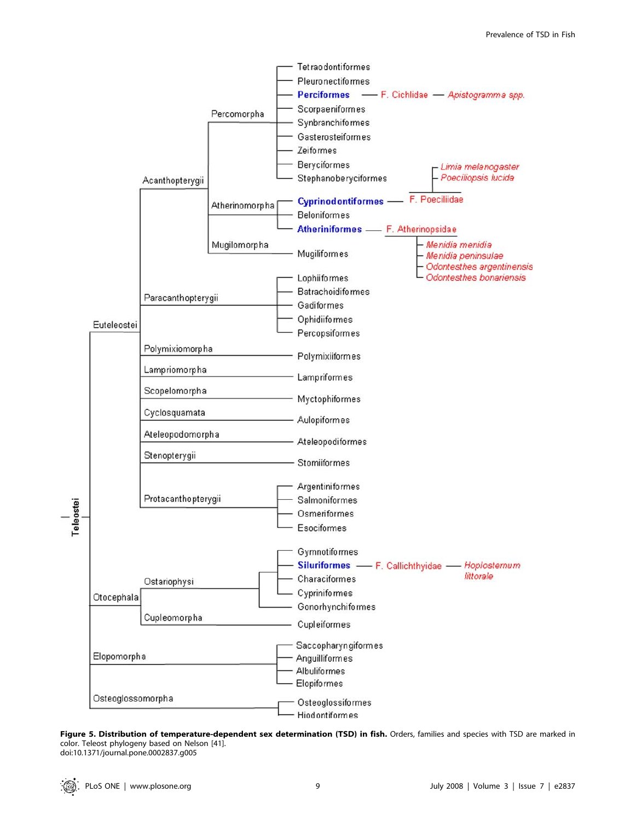

Figure 5. Distribution of temperature-dependent sex determination (TSD) in fish. Orders, families and species with TSD are marked in color. Teleost phylogeny based on Nelson [41]. doi:10.1371/journal.pone.0002837.g005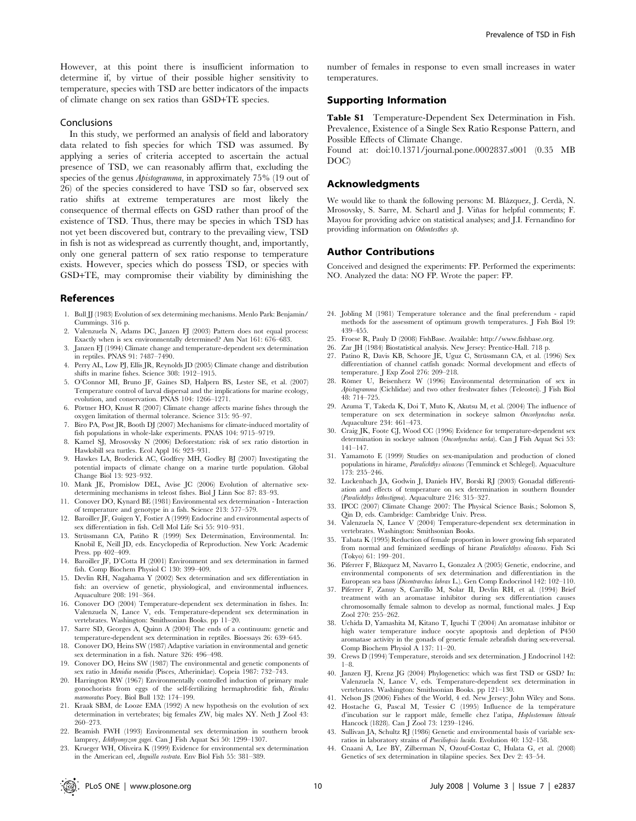However, at this point there is insufficient information to determine if, by virtue of their possible higher sensitivity to temperature, species with TSD are better indicators of the impacts of climate change on sex ratios than GSD+TE species.

## Conclusions

In this study, we performed an analysis of field and laboratory data related to fish species for which TSD was assumed. By applying a series of criteria accepted to ascertain the actual presence of TSD, we can reasonably affirm that, excluding the species of the genus Apistogramma, in approximately 75% (19 out of 26) of the species considered to have TSD so far, observed sex ratio shifts at extreme temperatures are most likely the consequence of thermal effects on GSD rather than proof of the existence of TSD. Thus, there may be species in which TSD has not yet been discovered but, contrary to the prevailing view, TSD in fish is not as widespread as currently thought, and, importantly, only one general pattern of sex ratio response to temperature exists. However, species which do possess TSD, or species with GSD+TE, may compromise their viability by diminishing the

#### References

- 1. Bull JJ (1983) Evolution of sex determining mechanisms. Menlo Park: Benjamin/ Cummings. 316 p.
- 2. Valenzuela N, Adams DC, Janzen FJ (2003) Pattern does not equal process: Exactly when is sex environmentally determined? Am Nat 161: 676–683.
- 3. Janzen FJ (1994) Climate change and temperature-dependent sex determination in reptiles. PNAS 91: 7487–7490.
- 4. Perry AL, Low PJ, Ellis JR, Reynolds JD (2005) Climate change and distribution shifts in marine fishes. Science 308: 1912–1915.
- 5. O'Connor MI, Bruno JF, Gaines SD, Halpern BS, Lester SE, et al. (2007) Temperature control of larval dispersal and the implications for marine ecology, evolution, and conservation. PNAS 104: 1266–1271.
- 6. Pörtner HO, Knust R (2007) Climate change affects marine fishes through the oxygen limitation of thermal tolerance. Science 315: 95–97.
- 7. Biro PA, Post JR, Booth DJ (2007) Mechanisms for climate-induced mortality of fish populations in whole-lake experiments. PNAS 104: 9715–9719.
- 8. Kamel SJ, Mrosovsky N (2006) Deforestation: risk of sex ratio distortion in Hawksbill sea turtles. Ecol Appl 16: 923–931.
- 9. Hawkes LA, Broderick AC, Godfrey MH, Godley BJ (2007) Investigating the potential impacts of climate change on a marine turtle population. Global Change Biol 13: 923–932.
- 10. Mank JE, Promislow DEL, Avise JC (2006) Evolution of alternative sexdetermining mechanisms in teleost fishes. Biol J Linn Soc 87: 83–93.
- 11. Conover DO, Kynard BE (1981) Environmental sex determination Interaction of temperature and genotype in a fish. Science 213: 577–579.
- 12. Baroiller JF, Guigen Y, Fostier A (1999) Endocrine and environmental aspects of sex differentiation in fish. Cell Mol Life Sci 55: 910–931.
- 13. Strüssmann CA, Patiño R (1999) Sex Determination, Environmental. In: Knobil E, Neill JD, eds. Encyclopedia of Reproduction. New York: Academic Press. pp 402–409.
- 14. Baroiller JF, D'Cotta H (2001) Environment and sex determination in farmed fish. Comp Biochem Physiol C 130: 399–409.
- 15. Devlin RH, Nagahama Y (2002) Sex determination and sex differentiation in fish: an overview of genetic, physiological, and environmental influences. Aquaculture 208: 191–364.
- 16. Conover DO (2004) Temperature-dependent sex determination in fishes. In: Valenzuela N, Lance V, eds. Temperature-dependent sex determination in vertebrates. Washington: Smithsonian Books. pp 11–20.
- 17. Sarre SD, Georges A, Quinn A (2004) The ends of a continuum: genetic and temperature-dependent sex determination in reptiles. Bioessays 26: 639–645.
- 18. Conover DO, Heins SW (1987) Adaptive variation in environmental and genetic sex determination in a fish. Nature 326: 496–498.
- 19. Conover DO, Heins SW (1987) The environmental and genetic components of sex ratio in Menidia menidia (Pisces, Atherinidae). Copeia 1987: 732–743.
- 20. Harrington RW (1967) Environmentally controlled induction of primary male gonochorists from eggs of the self-fertilizing hermaphroditic fish, Rivulus marmoratus Poey. Biol Bull 132: 174–199.
- 21. Kraak SBM, de Looze EMA (1992) A new hypothesis on the evolution of sex determination in vertebrates; big females ZW, big males XY. Neth J Zool 43: 260–273.
- 22. Beamish FWH (1993) Environmental sex determination in southern brook lamprey, Ichthyomyzon gagei. Can J Fish Aquat Sci 50: 1299–1307.
- 23. Krueger WH, Oliveira K (1999) Evidence for environmental sex determination in the American eel, Anguilla rostrata. Env Biol Fish 55: 381–389.

number of females in response to even small increases in water temperatures.

## Supporting Information

Table S1 Temperature-Dependent Sex Determination in Fish. Prevalence, Existence of a Single Sex Ratio Response Pattern, and Possible Effects of Climate Change.

Found at: doi:10.1371/journal.pone.0002837.s001 (0.35 MB DOC)

#### Acknowledgments

We would like to thank the following persons: M. Blázquez, J. Cerdà, N. Mrosovsky, S. Sarre, M. Schartl and J. Viñas for helpful comments; F. Mayou for providing advice on statistical analyses; and J.I. Fernandino for providing information on Odontesthes sp.

## Author Contributions

Conceived and designed the experiments: FP. Performed the experiments: NO. Analyzed the data: NO FP. Wrote the paper: FP.

- 24. Jobling M (1981) Temperature tolerance and the final preferendum rapid methods for the assessment of optimum growth temperatures. J Fish Biol 19: 439–455.
- 25. Froese R, Pauly D (2008) FishBase. Available: http://www.fishbase.org.
- 26. Zar JH (1984) Biostatistical analysis. New Jersey: Prentice-Hall. 718 p.
- 27. Patino R, Davis KB, Schoore JE, Uguz C, Strüssmann CA, et al. (1996) Sex differentiation of channel catfish gonads: Normal development and effects of temperature. J Exp Zool 276: 209–218.
- 28. Römer U, Beisenherz W (1996) Environmental determination of sex in Apistogramma (Cichlidae) and two other freshwater fishes (Teleostei). J Fish Biol 48: 714–725.
- 29. Azuma T, Takeda K, Doi T, Muto K, Akutsu M, et al. (2004) The influence of temperature on sex determination in sockeye salmon Oncorhynchus nerka. Aquaculture 234: 461–473.
- 30. Craig JK, Foote CJ, Wood CC (1996) Evidence for temperature-dependent sex determination in sockeye salmon (Oncorhynchus nerka). Can J Fish Aquat Sci 53: 141–147.
- 31. Yamamoto E (1999) Studies on sex-manipulation and production of cloned populations in hirame, Paralichthys olivaceus (Temminck et Schlegel). Aquaculture 173: 235–246.
- 32. Luckenbach JA, Godwin J, Daniels HV, Borski RJ (2003) Gonadal differentiation and effects of temperature on sex determination in southern flounder (Paralichthys lethostigma). Aquaculture 216: 315–327.
- 33. IPCC (2007) Climate Change 2007: The Physical Science Basis.; Solomon S, Qin D, eds. Cambridge: Cambridge Univ. Press.
- 34. Valenzuela N, Lance V (2004) Temperature-dependent sex determination in vertebrates. Washington: Smithsonian Books.
- 35. Tabata K (1995) Reduction of female proportion in lower growing fish separated from normal and feminized seedlings of hirane Paralichthys olivaceus. Fish Sci (Tokyo) 61: 199–201.
- 36. Piferrer F, Bla´zquez M, Navarro L, Gonzalez A (2005) Genetic, endocrine, and environmental components of sex determination and differentiation in the European sea bass (Dicentrarchus labrax L.). Gen Comp Endocrinol 142: 102–110.
- 37. Piferrer F, Zanuy S, Carrillo M, Solar II, Devlin RH, et al. (1994) Brief treatment with an aromatase inhibitor during sex differentiation causes chromosomally female salmon to develop as normal, functional males. J Exp Zool 270: 255–262.
- 38. Uchida D, Yamashita M, Kitano T, Iguchi T (2004) An aromatase inhibitor or high water temperature induce oocyte apoptosis and depletion of P450 aromatase activity in the gonads of genetic female zebrafish during sex-reversal. Comp Biochem Physiol A 137: 11–20.
- 39. Crews D (1994) Temperature, steroids and sex determination. J Endocrinol 142: 1–8.
- 40. Janzen FJ, Krenz JG (2004) Phylogenetics: which was first TSD or GSD? In: Valenzuela N, Lance V, eds. Temperature-dependent sex determination in vertebrates. Washington: Smithsonian Books. pp 121–130.
- 41. Nelson JS (2006) Fishes of the World, 4 ed. New Jersey: John Wiley and Sons. 42. Hostache G, Pascal M, Tessier C (1995) Influence de la température
- d'incubation sur le rapport mâle, femelle chez l'atipa, Hoplosternum littorale Hancock (1828). Can J Zool 73: 1239-1246. 43. Sullivan JA, Schultz RJ (1986) Genetic and environmental basis of variable sex-
- ratios in laboratory strains of Poeciliopsis lucida. Evolution 40: 152–158.
- 44. Cnaani A, Lee BY, Zilberman N, Ozouf-Costaz C, Hulata G, et al. (2008) Genetics of sex determination in tilapiine species. Sex Dev 2: 43–54.